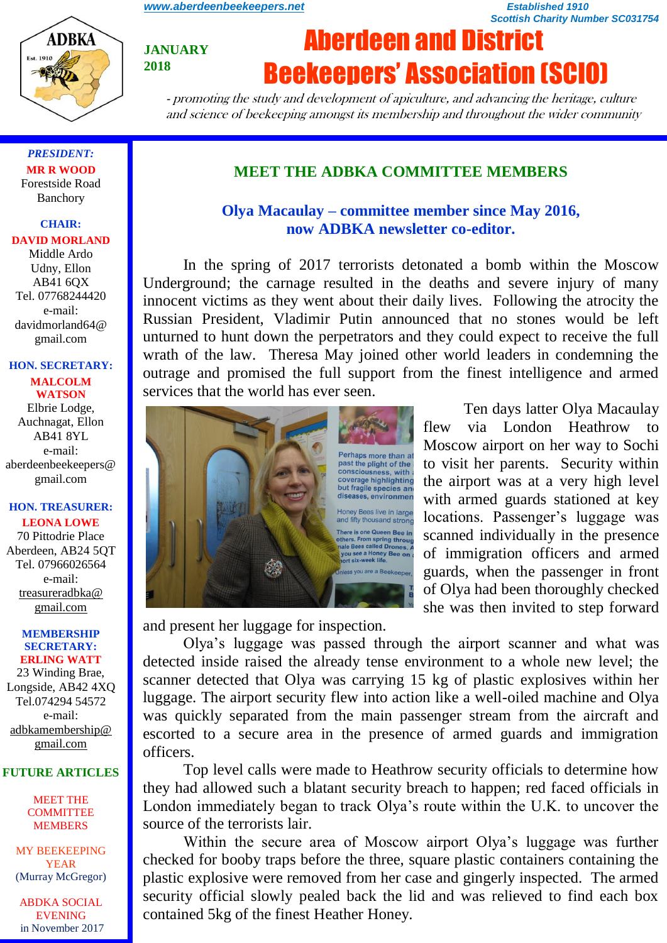*Scottish Charity Number SC031754*



**JANUARY 2018**

# Aberdeen and District Beekeepers' Association (SCIO)

- promoting the study and development of apiculture, and advancing the heritage, culture and science of beekeeping amongst its membership and throughout the wider community

*PRESIDENT:* **MR R WOOD** Forestside Road Banchory

#### **CHAIR:**

#### **DAVID MORLAND**

Middle Ardo Udny, Ellon AB41 6QX Tel. 07768244420 e-mail: davidmorland64@ gmail.com

#### **HON. SECRETARY: MALCOLM WATSON**

Elbrie Lodge, Auchnagat, Ellon AB41 8YL e-mail: aberdeenbeekeepers@ gmail.com

#### **HON. TREASURER: LEONA LOWE**

70 Pittodrie Place Aberdeen, AB24 5QT Tel. 07966026564 e-mail: [treasureradbka@](https://e.mail.ru/compose/?mailto=mailto%3atreasureradbka@gmail.com) [gmail.com](https://e.mail.ru/compose/?mailto=mailto%3atreasureradbka@gmail.com)

#### **MEMBERSHIP SECRETARY: ERLING WATT**

23 Winding Brae, Longside, AB42 4XQ Tel.074294 54572 e-mail: [adbkamembership@](mailto:watterlingg@aol.com) [gmail.com](mailto:watterlingg@aol.com)

#### **FUTURE ARTICLES**

MEET THE **COMMITTEE** MEMBERS

MY BEEKEEPING YEAR (Murray McGregor)

ABDKA SOCIAL **EVENING** in November 2017

### **MEET THE ADBKA COMMITTEE MEMBERS**

# **Olya Macaulay – committee member since May 2016, now ADBKA newsletter co-editor.**

In the spring of 2017 terrorists detonated a bomb within the Moscow Underground; the carnage resulted in the deaths and severe injury of many innocent victims as they went about their daily lives. Following the atrocity the Russian President, Vladimir Putin announced that no stones would be left unturned to hunt down the perpetrators and they could expect to receive the full wrath of the law. Theresa May joined other world leaders in condemning the outrage and promised the full support from the finest intelligence and armed services that the world has ever seen.



Ten days latter Olya Macaulay flew via London Heathrow to Moscow airport on her way to Sochi to visit her parents. Security within the airport was at a very high level with armed guards stationed at key locations. Passenger's luggage was scanned individually in the presence of immigration officers and armed guards, when the passenger in front of Olya had been thoroughly checked she was then invited to step forward

and present her luggage for inspection.

Olya's luggage was passed through the airport scanner and what was detected inside raised the already tense environment to a whole new level; the scanner detected that Olya was carrying 15 kg of plastic explosives within her luggage. The airport security flew into action like a well-oiled machine and Olya was quickly separated from the main passenger stream from the aircraft and escorted to a secure area in the presence of armed guards and immigration officers.

Top level calls were made to Heathrow security officials to determine how they had allowed such a blatant security breach to happen; red faced officials in London immediately began to track Olya's route within the U.K. to uncover the source of the terrorists lair.

Within the secure area of Moscow airport Olya's luggage was further checked for booby traps before the three, square plastic containers containing the plastic explosive were removed from her case and gingerly inspected. The armed security official slowly pealed back the lid and was relieved to find each box contained 5kg of the finest Heather Honey.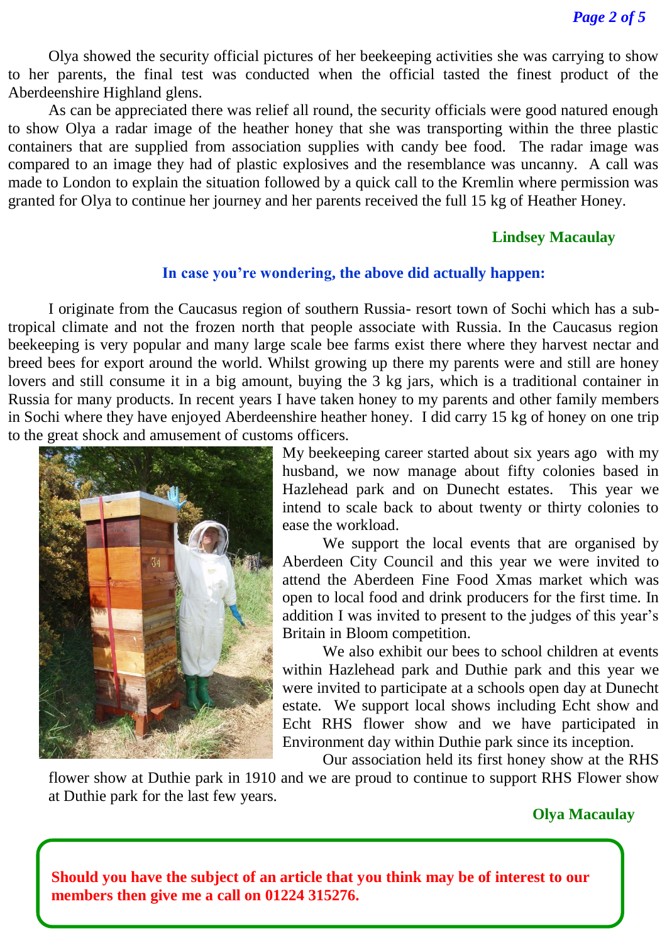Olya showed the security official pictures of her beekeeping activities she was carrying to show to her parents, the final test was conducted when the official tasted the finest product of the Aberdeenshire Highland glens.

As can be appreciated there was relief all round, the security officials were good natured enough to show Olya a radar image of the heather honey that she was transporting within the three plastic containers that are supplied from association supplies with candy bee food. The radar image was compared to an image they had of plastic explosives and the resemblance was uncanny. A call was made to London to explain the situation followed by a quick call to the Kremlin where permission was granted for Olya to continue her journey and her parents received the full 15 kg of Heather Honey.

### **Lindsey Macaulay**

### **In case you're wondering, the above did actually happen:**

I originate from the Caucasus region of southern Russia- resort town of Sochi which has a subtropical climate and not the frozen north that people associate with Russia. In the Caucasus region beekeeping is very popular and many large scale bee farms exist there where they harvest nectar and breed bees for export around the world. Whilst growing up there my parents were and still are honey lovers and still consume it in a big amount, buying the 3 kg jars, which is a traditional container in Russia for many products. In recent years I have taken honey to my parents and other family members in Sochi where they have enjoyed Aberdeenshire heather honey. I did carry 15 kg of honey on one trip to the great shock and amusement of customs officers.



My beekeeping career started about six years ago with my husband, we now manage about fifty colonies based in Hazlehead park and on Dunecht estates. This year we intend to scale back to about twenty or thirty colonies to ease the workload.

We support the local events that are organised by Aberdeen City Council and this year we were invited to attend the Aberdeen Fine Food Xmas market which was open to local food and drink producers for the first time. In addition I was invited to present to the judges of this year's Britain in Bloom competition.

We also exhibit our bees to school children at events within Hazlehead park and Duthie park and this year we were invited to participate at a schools open day at Dunecht estate. We support local shows including Echt show and Echt RHS flower show and we have participated in Environment day within Duthie park since its inception.

Our association held its first honey show at the RHS flower show at Duthie park in 1910 and we are proud to continue to support RHS Flower show at Duthie park for the last few years.

### **Olya Macaulay**

**Should you have the subject of an article that you think may be of interest to our members then give me a call on 01224 315276.**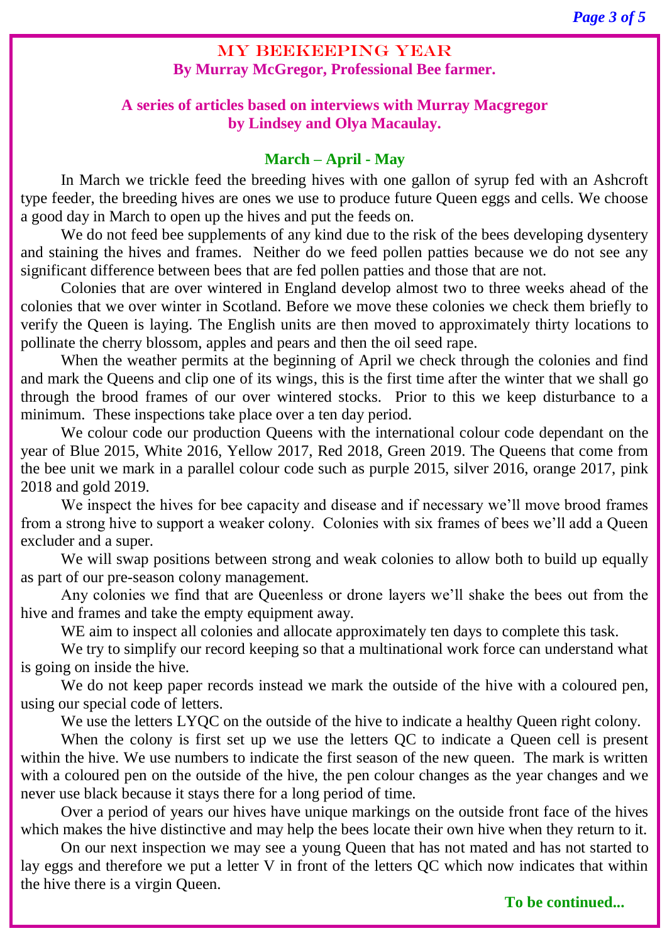# MY BEEKEEPING YEAR **By Murray McGregor, Professional Bee farmer.**

# **A series of articles based on interviews with Murray Macgregor by Lindsey and Olya Macaulay.**

# **March – April - May**

In March we trickle feed the breeding hives with one gallon of syrup fed with an Ashcroft type feeder, the breeding hives are ones we use to produce future Queen eggs and cells. We choose a good day in March to open up the hives and put the feeds on.

We do not feed bee supplements of any kind due to the risk of the bees developing dysentery and staining the hives and frames. Neither do we feed pollen patties because we do not see any significant difference between bees that are fed pollen patties and those that are not.

Colonies that are over wintered in England develop almost two to three weeks ahead of the colonies that we over winter in Scotland. Before we move these colonies we check them briefly to verify the Queen is laying. The English units are then moved to approximately thirty locations to pollinate the cherry blossom, apples and pears and then the oil seed rape.

When the weather permits at the beginning of April we check through the colonies and find and mark the Queens and clip one of its wings, this is the first time after the winter that we shall go through the brood frames of our over wintered stocks. Prior to this we keep disturbance to a minimum. These inspections take place over a ten day period.

We colour code our production Queens with the international colour code dependant on the year of Blue 2015, White 2016, Yellow 2017, Red 2018, Green 2019. The Queens that come from the bee unit we mark in a parallel colour code such as purple 2015, silver 2016, orange 2017, pink 2018 and gold 2019.

We inspect the hives for bee capacity and disease and if necessary we'll move brood frames from a strong hive to support a weaker colony. Colonies with six frames of bees we'll add a Queen excluder and a super.

We will swap positions between strong and weak colonies to allow both to build up equally as part of our pre-season colony management.

Any colonies we find that are Queenless or drone layers we'll shake the bees out from the hive and frames and take the empty equipment away.

WE aim to inspect all colonies and allocate approximately ten days to complete this task.

We try to simplify our record keeping so that a multinational work force can understand what is going on inside the hive.

We do not keep paper records instead we mark the outside of the hive with a coloured pen, using our special code of letters.

We use the letters LYQC on the outside of the hive to indicate a healthy Queen right colony.

When the colony is first set up we use the letters QC to indicate a Queen cell is present within the hive. We use numbers to indicate the first season of the new queen. The mark is written with a coloured pen on the outside of the hive, the pen colour changes as the year changes and we never use black because it stays there for a long period of time.

Over a period of years our hives have unique markings on the outside front face of the hives which makes the hive distinctive and may help the bees locate their own hive when they return to it.

On our next inspection we may see a young Queen that has not mated and has not started to lay eggs and therefore we put a letter V in front of the letters QC which now indicates that within the hive there is a virgin Queen.

# **To be continued...**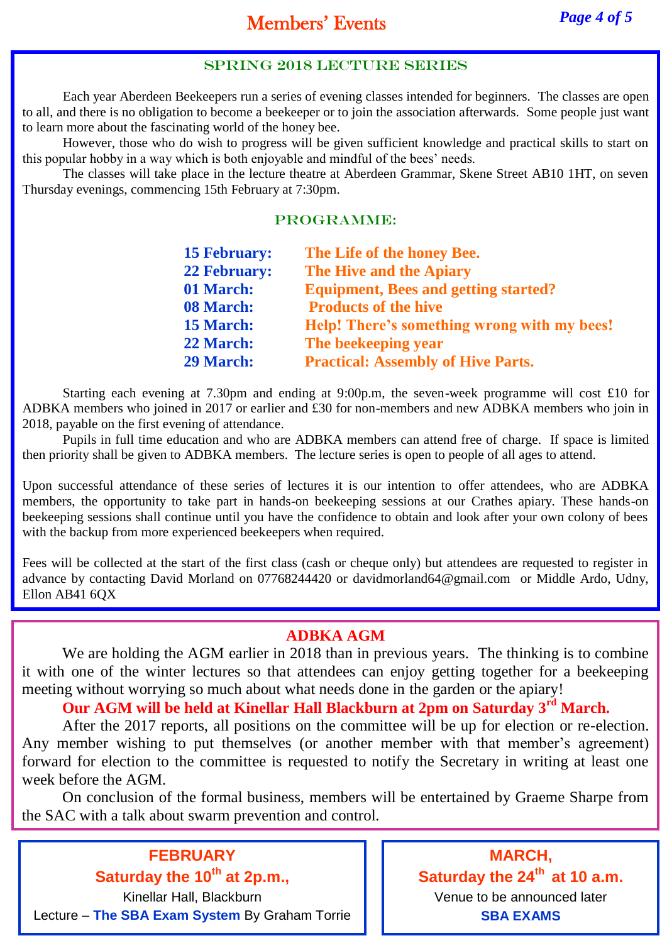### SPRING 2018 LECTURE SERIES

Each year Aberdeen Beekeepers run a series of evening classes intended for beginners. The classes are open to all, and there is no obligation to become a beekeeper or to join the association afterwards. Some people just want to learn more about the fascinating world of the honey bee.

However, those who do wish to progress will be given sufficient knowledge and practical skills to start on this popular hobby in a way which is both enjoyable and mindful of the bees' needs.

The classes will take place in the lecture theatre at Aberdeen Grammar, Skene Street AB10 1HT, on seven Thursday evenings, commencing 15th February at 7:30pm.

#### PROGRAMME:

| <b>15 February:</b> | The Life of the honey Bee.                  |
|---------------------|---------------------------------------------|
| <b>22 February:</b> | The Hive and the Apiary                     |
| 01 March:           | <b>Equipment, Bees and getting started?</b> |
| 08 March:           | <b>Products of the hive</b>                 |
| <b>15 March:</b>    | Help! There's something wrong with my bees! |
| 22 March:           | The beekeeping year                         |
| <b>29 March:</b>    | <b>Practical: Assembly of Hive Parts.</b>   |

Starting each evening at 7.30pm and ending at 9:00p.m, the seven-week programme will cost £10 for ADBKA members who joined in 2017 or earlier and £30 for non-members and new ADBKA members who join in 2018, payable on the first evening of attendance.

Pupils in full time education and who are ADBKA members can attend free of charge. If space is limited then priority shall be given to ADBKA members. The lecture series is open to people of all ages to attend.

Upon successful attendance of these series of lectures it is our intention to offer attendees, who are ADBKA members, the opportunity to take part in hands-on beekeeping sessions at our Crathes apiary. These hands-on beekeeping sessions shall continue until you have the confidence to obtain and look after your own colony of bees with the backup from more experienced beekeepers when required.

Fees will be collected at the start of the first class (cash or cheque only) but attendees are requested to register in advance by contacting David Morland on 07768244420 or [davidmorland64@gmail.com](mailto:davidmorland64@gmail.com) or Middle Ardo, Udny, Ellon AB41 6QX

# **ADBKA AGM**

We are holding the AGM earlier in 2018 than in previous years. The thinking is to combine it with one of the winter lectures so that attendees can enjoy getting together for a beekeeping meeting without worrying so much about what needs done in the garden or the apiary!

**Our AGM will be held at Kinellar Hall Blackburn at 2pm on Saturday 3rd March.**

After the 2017 reports, all positions on the committee will be up for election or re-election. Any member wishing to put themselves (or another member with that member's agreement) forward for election to the committee is requested to notify the Secretary in writing at least one week before the AGM.

On conclusion of the formal business, members will be entertained by Graeme Sharpe from the SAC with a talk about swarm prevention and control.

**FEBRUARY Saturday the 10th at 2p.m.,** Kinellar Hall, Blackburn Lecture – **The SBA Exam System** By Graham Torrie

**MARCH, Saturday the 24th at 10 a.m.** Venue to be announced later **SBA EXAMS**